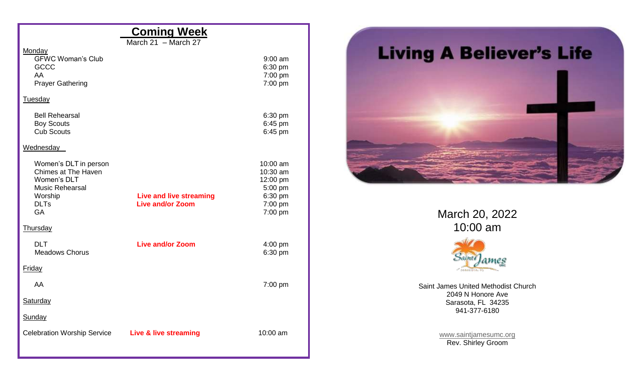|                                                                                                                              | <b>Coming Week</b>                                        |                                                                              |
|------------------------------------------------------------------------------------------------------------------------------|-----------------------------------------------------------|------------------------------------------------------------------------------|
|                                                                                                                              | March $21 -$ March 27                                     |                                                                              |
| Monday<br><b>GFWC Woman's Club</b><br><b>GCCC</b><br>AA<br><b>Prayer Gathering</b>                                           |                                                           | $9:00$ am<br>6:30 pm<br>7:00 pm<br>7:00 pm                                   |
| <b>Tuesday</b>                                                                                                               |                                                           |                                                                              |
| <b>Bell Rehearsal</b><br><b>Boy Scouts</b><br><b>Cub Scouts</b>                                                              |                                                           | 6:30 pm<br>6:45 pm<br>6:45 pm                                                |
| Wednesday                                                                                                                    |                                                           |                                                                              |
| Women's DLT in person<br>Chimes at The Haven<br>Women's DLT<br><b>Music Rehearsal</b><br>Worship<br><b>DLTs</b><br><b>GA</b> | <b>Live and live streaming</b><br><b>Live and/or Zoom</b> | 10:00 am<br>10:30 am<br>12:00 pm<br>5:00 pm<br>6:30 pm<br>7:00 pm<br>7:00 pm |
| <b>Thursday</b>                                                                                                              |                                                           |                                                                              |
| <b>DLT</b><br><b>Meadows Chorus</b>                                                                                          | <b>Live and/or Zoom</b>                                   | 4:00 pm<br>6:30 pm                                                           |
| Friday                                                                                                                       |                                                           |                                                                              |
| AA                                                                                                                           |                                                           | 7:00 pm                                                                      |
| <b>Saturday</b>                                                                                                              |                                                           |                                                                              |
| Sunday                                                                                                                       |                                                           |                                                                              |
| <b>Celebration Worship Service</b>                                                                                           | Live & live streaming                                     | 10:00 am                                                                     |



March 20, 2022 10:00 am



Saint James United Methodist Church 2049 N Honore Ave Sarasota, FL 34235 941-377-6180

> [www.saintjamesumc.org](http://www.saintjamesumc.org/) Rev. Shirley Groom